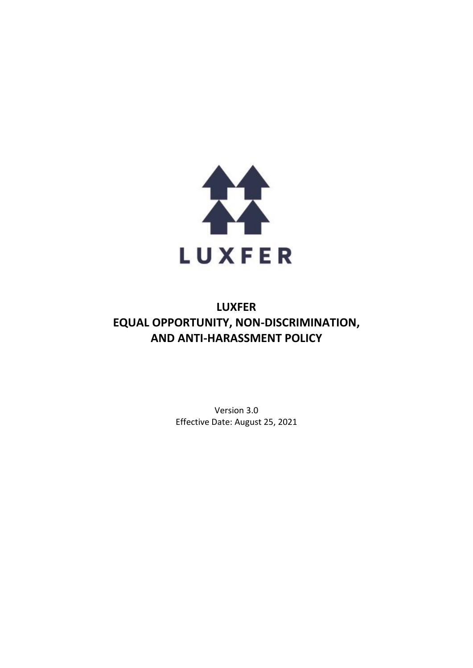

# **LUXFER EQUAL OPPORTUNITY, NON-DISCRIMINATION, AND ANTI-HARASSMENT POLICY**

Version 3.0 Effective Date: August 25, 2021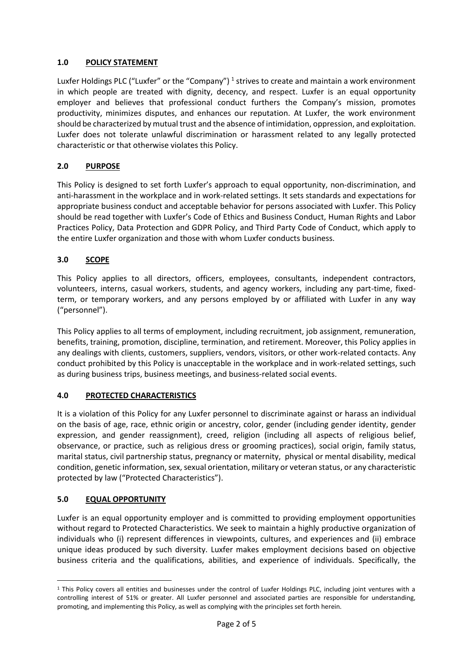### **1.0 POLICY STATEMENT**

Luxfer Holdings PLC ("Luxfer" or the "Company")<sup>1</sup> strives to create and maintain a work environment in which people are treated with dignity, decency, and respect. Luxfer is an equal opportunity employer and believes that professional conduct furthers the Company's mission, promotes productivity, minimizes disputes, and enhances our reputation. At Luxfer, the work environment should be characterized by mutual trust and the absence of intimidation, oppression, and exploitation. Luxfer does not tolerate unlawful discrimination or harassment related to any legally protected characteristic or that otherwise violates this Policy.

## **2.0 PURPOSE**

This Policy is designed to set forth Luxfer's approach to equal opportunity, non-discrimination, and anti-harassment in the workplace and in work-related settings. It sets standards and expectations for appropriate business conduct and acceptable behavior for persons associated with Luxfer. This Policy should be read together with Luxfer's Code of Ethics and Business Conduct, Human Rights and Labor Practices Policy, Data Protection and GDPR Policy, and Third Party Code of Conduct, which apply to the entire Luxfer organization and those with whom Luxfer conducts business.

## **3.0 SCOPE**

This Policy applies to all directors, officers, employees, consultants, independent contractors, volunteers, interns, casual workers, students, and agency workers, including any part-time, fixedterm, or temporary workers, and any persons employed by or affiliated with Luxfer in any way ("personnel").

This Policy applies to all terms of employment, including recruitment, job assignment, remuneration, benefits, training, promotion, discipline, termination, and retirement. Moreover, this Policy applies in any dealings with clients, customers, suppliers, vendors, visitors, or other work-related contacts. Any conduct prohibited by this Policy is unacceptable in the workplace and in work-related settings, such as during business trips, business meetings, and business-related social events.

#### **4.0 PROTECTED CHARACTERISTICS**

It is a violation of this Policy for any Luxfer personnel to discriminate against or harass an individual on the basis of age, race, ethnic origin or ancestry, color, gender (including gender identity, gender expression, and gender reassignment), creed, religion (including all aspects of religious belief, observance, or practice, such as religious dress or grooming practices), social origin, family status, marital status, civil partnership status, pregnancy or maternity, physical or mental disability, medical condition, genetic information, sex, sexual orientation, military or veteran status, or any characteristic protected by law ("Protected Characteristics").

#### **5.0 EQUAL OPPORTUNITY**

Luxfer is an equal opportunity employer and is committed to providing employment opportunities without regard to Protected Characteristics. We seek to maintain a highly productive organization of individuals who (i) represent differences in viewpoints, cultures, and experiences and (ii) embrace unique ideas produced by such diversity. Luxfer makes employment decisions based on objective business criteria and the qualifications, abilities, and experience of individuals. Specifically, the

<sup>&</sup>lt;sup>1</sup> This Policy covers all entities and businesses under the control of Luxfer Holdings PLC, including joint ventures with a controlling interest of 51% or greater. All Luxfer personnel and associated parties are responsible for understanding, promoting, and implementing this Policy, as well as complying with the principles set forth herein.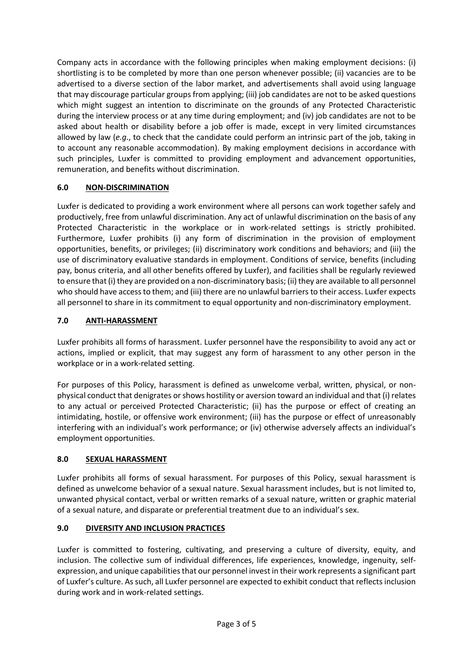Company acts in accordance with the following principles when making employment decisions: (i) shortlisting is to be completed by more than one person whenever possible; (ii) vacancies are to be advertised to a diverse section of the labor market, and advertisements shall avoid using language that may discourage particular groups from applying; (iii) job candidates are not to be asked questions which might suggest an intention to discriminate on the grounds of any Protected Characteristic during the interview process or at any time during employment; and (iv) job candidates are not to be asked about health or disability before a job offer is made, except in very limited circumstances allowed by law (*e.g*., to check that the candidate could perform an intrinsic part of the job, taking in to account any reasonable accommodation). By making employment decisions in accordance with such principles, Luxfer is committed to providing employment and advancement opportunities, remuneration, and benefits without discrimination.

# **6.0 NON-DISCRIMINATION**

Luxfer is dedicated to providing a work environment where all persons can work together safely and productively, free from unlawful discrimination. Any act of unlawful discrimination on the basis of any Protected Characteristic in the workplace or in work-related settings is strictly prohibited. Furthermore, Luxfer prohibits (i) any form of discrimination in the provision of employment opportunities, benefits, or privileges; (ii) discriminatory work conditions and behaviors; and (iii) the use of discriminatory evaluative standards in employment. Conditions of service, benefits (including pay, bonus criteria, and all other benefits offered by Luxfer), and facilities shall be regularly reviewed to ensure that (i) they are provided on a non-discriminatory basis; (ii) they are available to all personnel who should have access to them; and (iii) there are no unlawful barriers to their access. Luxfer expects all personnel to share in its commitment to equal opportunity and non-discriminatory employment.

# **7.0 ANTI-HARASSMENT**

Luxfer prohibits all forms of harassment. Luxfer personnel have the responsibility to avoid any act or actions, implied or explicit, that may suggest any form of harassment to any other person in the workplace or in a work-related setting.

For purposes of this Policy, harassment is defined as unwelcome verbal, written, physical, or nonphysical conduct that denigrates or shows hostility or aversion toward an individual and that (i) relates to any actual or perceived Protected Characteristic; (ii) has the purpose or effect of creating an intimidating, hostile, or offensive work environment; (iii) has the purpose or effect of unreasonably interfering with an individual's work performance; or (iv) otherwise adversely affects an individual's employment opportunities.

# **8.0 SEXUAL HARASSMENT**

Luxfer prohibits all forms of sexual harassment. For purposes of this Policy, sexual harassment is defined as unwelcome behavior of a sexual nature. Sexual harassment includes, but is not limited to, unwanted physical contact, verbal or written remarks of a sexual nature, written or graphic material of a sexual nature, and disparate or preferential treatment due to an individual's sex.

# **9.0 DIVERSITY AND INCLUSION PRACTICES**

Luxfer is committed to fostering, cultivating, and preserving a culture of diversity, equity, and inclusion. The collective sum of individual differences, life experiences, knowledge, ingenuity, selfexpression, and unique capabilities that our personnel invest in their work represents a significant part of Luxfer's culture. As such, all Luxfer personnel are expected to exhibit conduct that reflects inclusion during work and in work-related settings.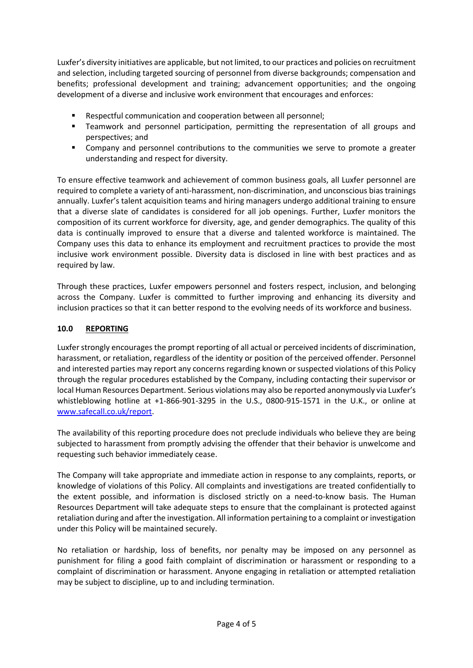Luxfer's diversity initiatives are applicable, but not limited, to our practices and policies on recruitment and selection, including targeted sourcing of personnel from diverse backgrounds; compensation and benefits; professional development and training; advancement opportunities; and the ongoing development of a diverse and inclusive work environment that encourages and enforces:

- Respectful communication and cooperation between all personnel;
- Teamwork and personnel participation, permitting the representation of all groups and perspectives; and
- Company and personnel contributions to the communities we serve to promote a greater understanding and respect for diversity.

To ensure effective teamwork and achievement of common business goals, all Luxfer personnel are required to complete a variety of anti-harassment, non-discrimination, and unconscious bias trainings annually. Luxfer's talent acquisition teams and hiring managers undergo additional training to ensure that a diverse slate of candidates is considered for all job openings. Further, Luxfer monitors the composition of its current workforce for diversity, age, and gender demographics. The quality of this data is continually improved to ensure that a diverse and talented workforce is maintained. The Company uses this data to enhance its employment and recruitment practices to provide the most inclusive work environment possible. Diversity data is disclosed in line with best practices and as required by law.

Through these practices, Luxfer empowers personnel and fosters respect, inclusion, and belonging across the Company. Luxfer is committed to further improving and enhancing its diversity and inclusion practices so that it can better respond to the evolving needs of its workforce and business.

### **10.0 REPORTING**

Luxfer strongly encourages the prompt reporting of all actual or perceived incidents of discrimination, harassment, or retaliation, regardless of the identity or position of the perceived offender. Personnel and interested parties may report any concerns regarding known or suspected violations of this Policy through the regular procedures established by the Company, including contacting their supervisor or local Human Resources Department. Serious violations may also be reported anonymously via Luxfer's whistleblowing hotline at +1-866-901-3295 in the U.S., 0800-915-1571 in the U.K., or online at [www.safecall.co.uk/report.](http://www.safecall.co.uk/report)

The availability of this reporting procedure does not preclude individuals who believe they are being subjected to harassment from promptly advising the offender that their behavior is unwelcome and requesting such behavior immediately cease.

The Company will take appropriate and immediate action in response to any complaints, reports, or knowledge of violations of this Policy. All complaints and investigations are treated confidentially to the extent possible, and information is disclosed strictly on a need-to-know basis. The Human Resources Department will take adequate steps to ensure that the complainant is protected against retaliation during and after the investigation. All information pertaining to a complaint or investigation under this Policy will be maintained securely.

No retaliation or hardship, loss of benefits, nor penalty may be imposed on any personnel as punishment for filing a good faith complaint of discrimination or harassment or responding to a complaint of discrimination or harassment. Anyone engaging in retaliation or attempted retaliation may be subject to discipline, up to and including termination.